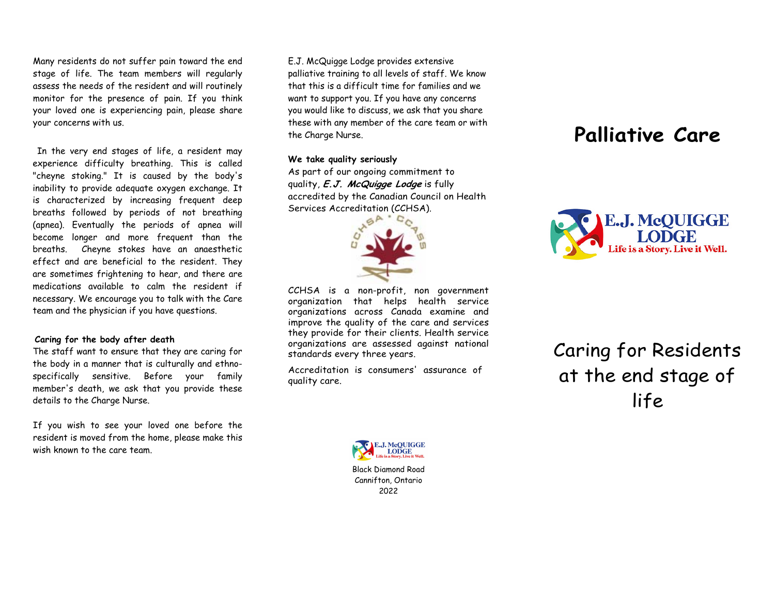Many residents do not suffer pain toward the end stage of life. The team members will regularly assess the needs of the resident and will routinely monitor for the presence of pain. If you think your loved one is experiencing pain, please share your concerns with us.

In the very end stages of life, a resident may experience difficulty breathing. This is called "cheyne stoking." It is caused by the body's inability to provide adequate oxygen exchange. It is characterized by increasing frequent deep breaths followed by periods of not breathing (apnea). Eventually the periods of apnea will become longer and more frequent than the breaths. Cheyne stokes have an anaesthetic effect and are beneficial to the resident. They are sometimes frightening to hear, and there are medications available to calm the resident if necessary. We encourage you to talk with the Care team and the physician if you have questions.

# **Caring for the body after death**

The staff want to ensure that they are caring for the body in a manner that is culturally and ethnospecifically sensitive. Before your family member's death, we ask that you provide these details to the Charge Nurse.

If you wish to see your loved one before the resident is moved from the home, please make this wish known to the care team.

E.J. McQuigge Lodge provides extensive palliative training to all levels of staff. We know that this is a difficult time for families and we want to support you. If you have any concerns you would like to discuss, we ask that you share these with any member of the care team or with the Charge Nurse.

# **We take quality seriously**

As part of our ongoing commitment to quality, **E.J. McQuigge Lodge** is fully accredited by the Canadian Council on Health Services Accreditation (CCHSA).



CCHSA is a non-profit, non government organization that helps health service organizations across Canada examine and improve the quality of the care and services they provide for their clients. Health service organizations are assessed against national standards every three years.

Accreditation is consumers' assurance of quality care.

# **Palliative Care**



Caring for Residents at the end stage of life



Black Diamond Road Cannifton, Ontario 2022